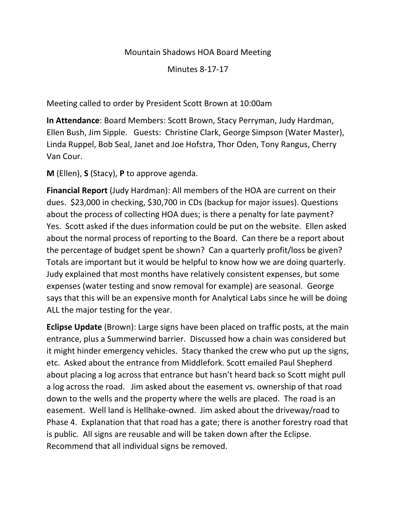#### Mountain Shadows HOA Board Meeting

Minutes 8-17-17

Meeting called to order by President Scott Brown at 10:00am

**In Attendance**: Board Members: Scott Brown, Stacy Perryman, Judy Hardman, Ellen Bush, Jim Sipple. Guests: Christine Clark, George Simpson (Water Master), Linda Ruppel, Bob Seal, Janet and Joe Hofstra, Thor Oden, Tony Rangus, Cherry Van Cour.

**M** (Ellen), **S** (Stacy), **P** to approve agenda.

**Financial Report** (Judy Hardman): All members of the HOA are current on their dues. \$23,000 in checking, \$30,700 in CDs (backup for major issues). Questions about the process of collecting HOA dues; is there a penalty for late payment? Yes. Scott asked if the dues information could be put on the website. Ellen asked about the normal process of reporting to the Board. Can there be a report about the percentage of budget spent be shown? Can a quarterly profit/loss be given? Totals are important but it would be helpful to know how we are doing quarterly. Judy explained that most months have relatively consistent expenses, but some expenses (water testing and snow removal for example) are seasonal. George says that this will be an expensive month for Analytical Labs since he will be doing ALL the major testing for the year.

**Eclipse Update** (Brown): Large signs have been placed on traffic posts, at the main entrance, plus a Summerwind barrier. Discussed how a chain was considered but it might hinder emergency vehicles. Stacy thanked the crew who put up the signs, etc. Asked about the entrance from Middlefork. Scott emailed Paul Shepherd about placing a log across that entrance but hasn't heard back so Scott might pull a log across the road. Jim asked about the easement vs. ownership of that road down to the wells and the property where the wells are placed. The road is an easement. Well land is Hellhake-owned. Jim asked about the driveway/road to Phase 4. Explanation that that road has a gate; there is another forestry road that is public. All signs are reusable and will be taken down after the Eclipse. Recommend that all individual signs be removed.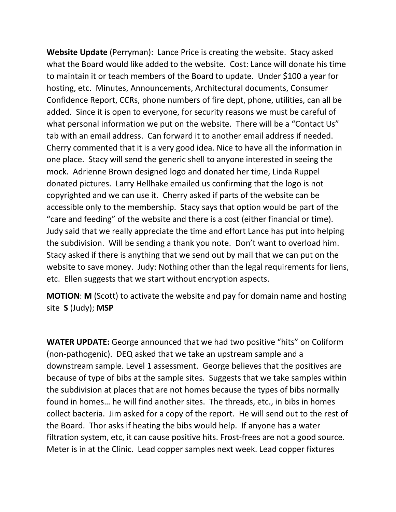**Website Update** (Perryman): Lance Price is creating the website. Stacy asked what the Board would like added to the website. Cost: Lance will donate his time to maintain it or teach members of the Board to update. Under \$100 a year for hosting, etc. Minutes, Announcements, Architectural documents, Consumer Confidence Report, CCRs, phone numbers of fire dept, phone, utilities, can all be added. Since it is open to everyone, for security reasons we must be careful of what personal information we put on the website. There will be a "Contact Us" tab with an email address. Can forward it to another email address if needed. Cherry commented that it is a very good idea. Nice to have all the information in one place. Stacy will send the generic shell to anyone interested in seeing the mock. Adrienne Brown designed logo and donated her time, Linda Ruppel donated pictures. Larry Hellhake emailed us confirming that the logo is not copyrighted and we can use it. Cherry asked if parts of the website can be accessible only to the membership. Stacy says that option would be part of the "care and feeding" of the website and there is a cost (either financial or time). Judy said that we really appreciate the time and effort Lance has put into helping the subdivision. Will be sending a thank you note. Don't want to overload him. Stacy asked if there is anything that we send out by mail that we can put on the website to save money. Judy: Nothing other than the legal requirements for liens, etc. Ellen suggests that we start without encryption aspects.

**MOTION**: **M** (Scott) to activate the website and pay for domain name and hosting site **S** (Judy); **MSP**

**WATER UPDATE:** George announced that we had two positive "hits" on Coliform (non-pathogenic). DEQ asked that we take an upstream sample and a downstream sample. Level 1 assessment. George believes that the positives are because of type of bibs at the sample sites. Suggests that we take samples within the subdivision at places that are not homes because the types of bibs normally found in homes… he will find another sites. The threads, etc., in bibs in homes collect bacteria. Jim asked for a copy of the report. He will send out to the rest of the Board. Thor asks if heating the bibs would help. If anyone has a water filtration system, etc, it can cause positive hits. Frost-frees are not a good source. Meter is in at the Clinic. Lead copper samples next week. Lead copper fixtures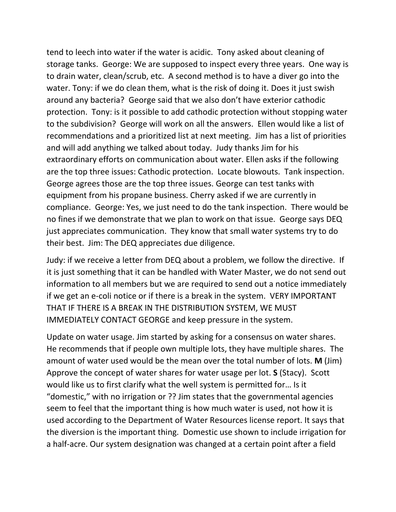tend to leech into water if the water is acidic. Tony asked about cleaning of storage tanks. George: We are supposed to inspect every three years. One way is to drain water, clean/scrub, etc. A second method is to have a diver go into the water. Tony: if we do clean them, what is the risk of doing it. Does it just swish around any bacteria? George said that we also don't have exterior cathodic protection. Tony: is it possible to add cathodic protection without stopping water to the subdivision? George will work on all the answers. Ellen would like a list of recommendations and a prioritized list at next meeting. Jim has a list of priorities and will add anything we talked about today. Judy thanks Jim for his extraordinary efforts on communication about water. Ellen asks if the following are the top three issues: Cathodic protection. Locate blowouts. Tank inspection. George agrees those are the top three issues. George can test tanks with equipment from his propane business. Cherry asked if we are currently in compliance. George: Yes, we just need to do the tank inspection. There would be no fines if we demonstrate that we plan to work on that issue. George says DEQ just appreciates communication. They know that small water systems try to do their best. Jim: The DEQ appreciates due diligence.

Judy: if we receive a letter from DEQ about a problem, we follow the directive. If it is just something that it can be handled with Water Master, we do not send out information to all members but we are required to send out a notice immediately if we get an e-coli notice or if there is a break in the system. VERY IMPORTANT THAT IF THERE IS A BREAK IN THE DISTRIBUTION SYSTEM, WE MUST IMMEDIATELY CONTACT GEORGE and keep pressure in the system.

Update on water usage. Jim started by asking for a consensus on water shares. He recommends that if people own multiple lots, they have multiple shares. The amount of water used would be the mean over the total number of lots. **M** (Jim) Approve the concept of water shares for water usage per lot. **S** (Stacy). Scott would like us to first clarify what the well system is permitted for… Is it "domestic," with no irrigation or ?? Jim states that the governmental agencies seem to feel that the important thing is how much water is used, not how it is used according to the Department of Water Resources license report. It says that the diversion is the important thing. Domestic use shown to include irrigation for a half-acre. Our system designation was changed at a certain point after a field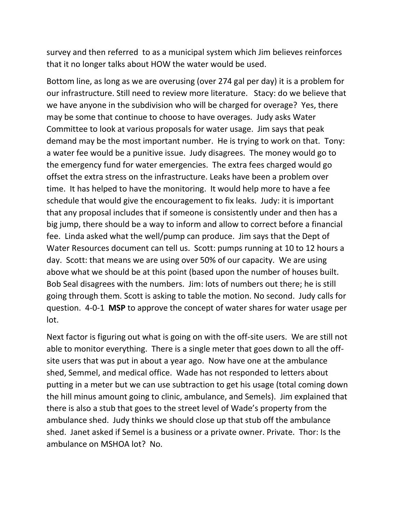survey and then referred to as a municipal system which Jim believes reinforces that it no longer talks about HOW the water would be used.

Bottom line, as long as we are overusing (over 274 gal per day) it is a problem for our infrastructure. Still need to review more literature. Stacy: do we believe that we have anyone in the subdivision who will be charged for overage? Yes, there may be some that continue to choose to have overages. Judy asks Water Committee to look at various proposals for water usage. Jim says that peak demand may be the most important number. He is trying to work on that. Tony: a water fee would be a punitive issue. Judy disagrees. The money would go to the emergency fund for water emergencies. The extra fees charged would go offset the extra stress on the infrastructure. Leaks have been a problem over time. It has helped to have the monitoring. It would help more to have a fee schedule that would give the encouragement to fix leaks. Judy: it is important that any proposal includes that if someone is consistently under and then has a big jump, there should be a way to inform and allow to correct before a financial fee. Linda asked what the well/pump can produce. Jim says that the Dept of Water Resources document can tell us. Scott: pumps running at 10 to 12 hours a day. Scott: that means we are using over 50% of our capacity. We are using above what we should be at this point (based upon the number of houses built. Bob Seal disagrees with the numbers. Jim: lots of numbers out there; he is still going through them. Scott is asking to table the motion. No second. Judy calls for question. 4-0-1 **MSP** to approve the concept of water shares for water usage per lot.

Next factor is figuring out what is going on with the off-site users. We are still not able to monitor everything. There is a single meter that goes down to all the offsite users that was put in about a year ago. Now have one at the ambulance shed, Semmel, and medical office. Wade has not responded to letters about putting in a meter but we can use subtraction to get his usage (total coming down the hill minus amount going to clinic, ambulance, and Semels). Jim explained that there is also a stub that goes to the street level of Wade's property from the ambulance shed. Judy thinks we should close up that stub off the ambulance shed. Janet asked if Semel is a business or a private owner. Private. Thor: Is the ambulance on MSHOA lot? No.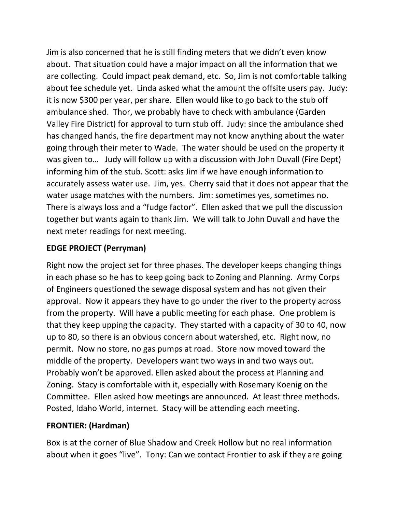Jim is also concerned that he is still finding meters that we didn't even know about. That situation could have a major impact on all the information that we are collecting. Could impact peak demand, etc. So, Jim is not comfortable talking about fee schedule yet. Linda asked what the amount the offsite users pay. Judy: it is now \$300 per year, per share. Ellen would like to go back to the stub off ambulance shed. Thor, we probably have to check with ambulance (Garden Valley Fire District) for approval to turn stub off. Judy: since the ambulance shed has changed hands, the fire department may not know anything about the water going through their meter to Wade. The water should be used on the property it was given to… Judy will follow up with a discussion with John Duvall (Fire Dept) informing him of the stub. Scott: asks Jim if we have enough information to accurately assess water use. Jim, yes. Cherry said that it does not appear that the water usage matches with the numbers. Jim: sometimes yes, sometimes no. There is always loss and a "fudge factor". Ellen asked that we pull the discussion together but wants again to thank Jim. We will talk to John Duvall and have the next meter readings for next meeting.

# **EDGE PROJECT (Perryman)**

Right now the project set for three phases. The developer keeps changing things in each phase so he has to keep going back to Zoning and Planning. Army Corps of Engineers questioned the sewage disposal system and has not given their approval. Now it appears they have to go under the river to the property across from the property. Will have a public meeting for each phase. One problem is that they keep upping the capacity. They started with a capacity of 30 to 40, now up to 80, so there is an obvious concern about watershed, etc. Right now, no permit. Now no store, no gas pumps at road. Store now moved toward the middle of the property. Developers want two ways in and two ways out. Probably won't be approved. Ellen asked about the process at Planning and Zoning. Stacy is comfortable with it, especially with Rosemary Koenig on the Committee. Ellen asked how meetings are announced. At least three methods. Posted, Idaho World, internet. Stacy will be attending each meeting.

## **FRONTIER: (Hardman)**

Box is at the corner of Blue Shadow and Creek Hollow but no real information about when it goes "live". Tony: Can we contact Frontier to ask if they are going